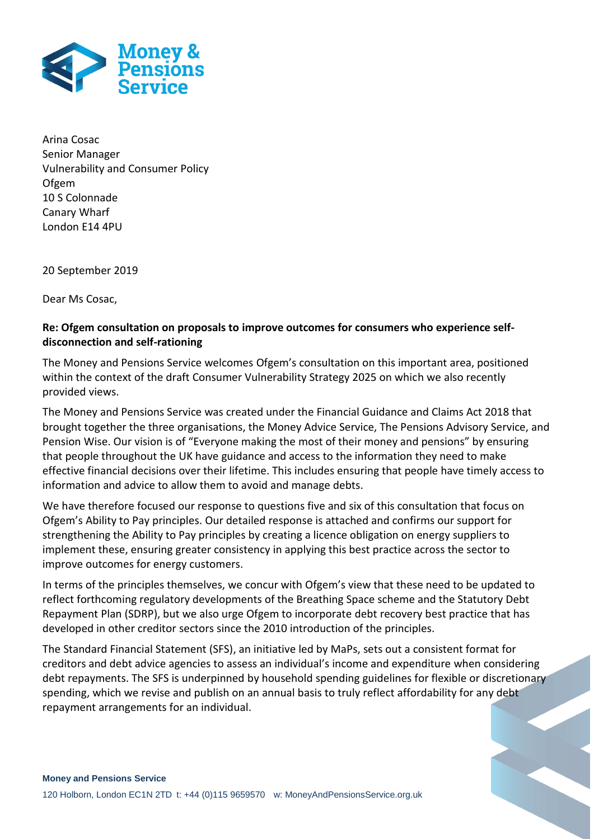

Arina Cosac Senior Manager Vulnerability and Consumer Policy Ofgem 10 S Colonnade Canary Wharf London E14 4PU

20 September 2019

Dear Ms Cosac,

# **Re: Ofgem consultation on proposals to improve outcomes for consumers who experience selfdisconnection and self-rationing**

The Money and Pensions Service welcomes Ofgem's consultation on this important area, positioned within the context of the draft Consumer Vulnerability Strategy 2025 on which we also recently provided views.

The Money and Pensions Service was created under the Financial Guidance and Claims Act 2018 that brought together the three organisations, the Money Advice Service, The Pensions Advisory Service, and Pension Wise. Our vision is of "Everyone making the most of their money and pensions" by ensuring that people throughout the UK have guidance and access to the information they need to make effective financial decisions over their lifetime. This includes ensuring that people have timely access to information and advice to allow them to avoid and manage debts.

We have therefore focused our response to questions five and six of this consultation that focus on Ofgem's Ability to Pay principles. Our detailed response is attached and confirms our support for strengthening the Ability to Pay principles by creating a licence obligation on energy suppliers to implement these, ensuring greater consistency in applying this best practice across the sector to improve outcomes for energy customers.

In terms of the principles themselves, we concur with Ofgem's view that these need to be updated to reflect forthcoming regulatory developments of the Breathing Space scheme and the Statutory Debt Repayment Plan (SDRP), but we also urge Ofgem to incorporate debt recovery best practice that has developed in other creditor sectors since the 2010 introduction of the principles.

The Standard Financial Statement (SFS), an initiative led by MaPs, sets out a consistent format for creditors and debt advice agencies to assess an individual's income and expenditure when considering debt repayments. The SFS is underpinned by household spending guidelines for flexible or discretionary spending, which we revise and publish on an annual basis to truly reflect affordability for any debt repayment arrangements for an individual.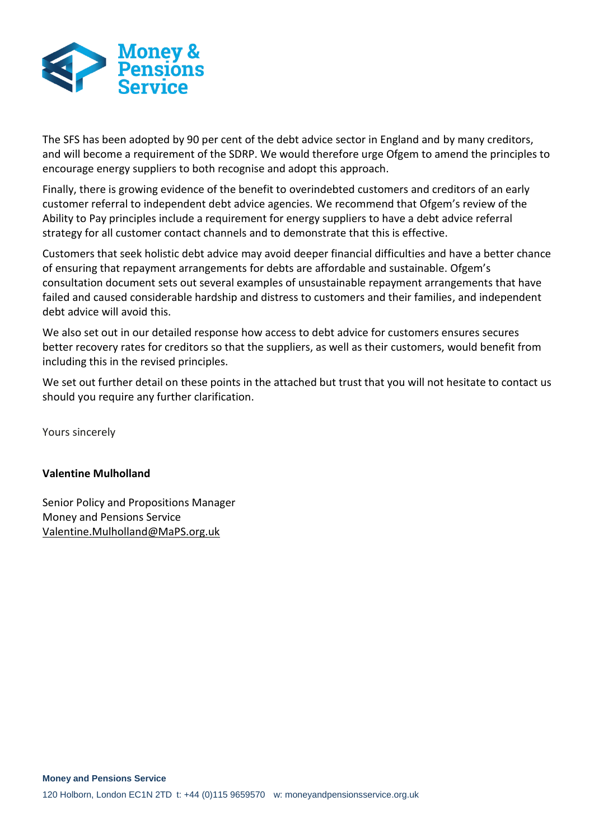

The SFS has been adopted by 90 per cent of the debt advice sector in England and by many creditors, and will become a requirement of the SDRP. We would therefore urge Ofgem to amend the principles to encourage energy suppliers to both recognise and adopt this approach.

Finally, there is growing evidence of the benefit to overindebted customers and creditors of an early customer referral to independent debt advice agencies. We recommend that Ofgem's review of the Ability to Pay principles include a requirement for energy suppliers to have a debt advice referral strategy for all customer contact channels and to demonstrate that this is effective.

Customers that seek holistic debt advice may avoid deeper financial difficulties and have a better chance of ensuring that repayment arrangements for debts are affordable and sustainable. Ofgem's consultation document sets out several examples of unsustainable repayment arrangements that have failed and caused considerable hardship and distress to customers and their families, and independent debt advice will avoid this.

We also set out in our detailed response how access to debt advice for customers ensures secures better recovery rates for creditors so that the suppliers, as well as their customers, would benefit from including this in the revised principles.

We set out further detail on these points in the attached but trust that you will not hesitate to contact us should you require any further clarification.

Yours sincerely

#### **Valentine Mulholland**

Senior Policy and Propositions Manager Money and Pensions Service [Valentine.Mulholland@MaPS.org.uk](mailto:Valentine.Mulholland@MaPS.org.uk)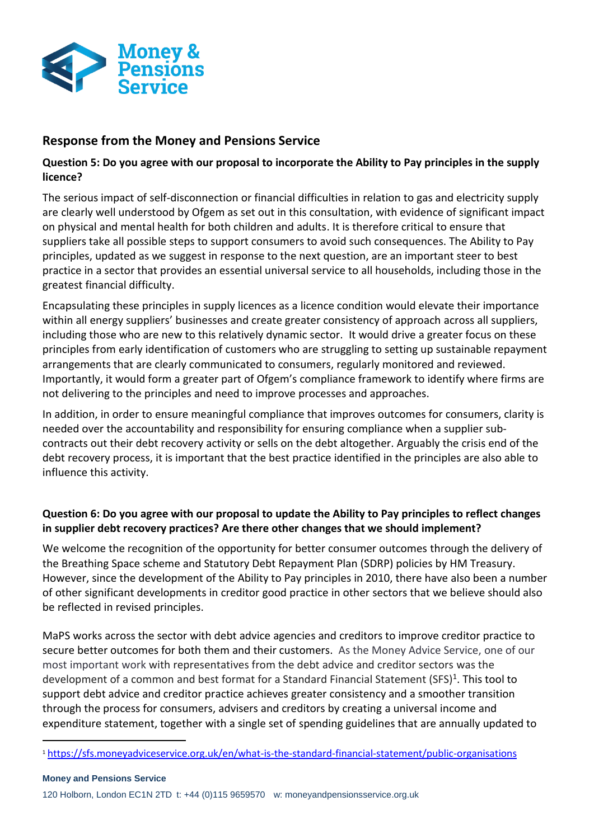

# **Response from the Money and Pensions Service**

### **Question 5: Do you agree with our proposal to incorporate the Ability to Pay principles in the supply licence?**

The serious impact of self-disconnection or financial difficulties in relation to gas and electricity supply are clearly well understood by Ofgem as set out in this consultation, with evidence of significant impact on physical and mental health for both children and adults. It is therefore critical to ensure that suppliers take all possible steps to support consumers to avoid such consequences. The Ability to Pay principles, updated as we suggest in response to the next question, are an important steer to best practice in a sector that provides an essential universal service to all households, including those in the greatest financial difficulty.

Encapsulating these principles in supply licences as a licence condition would elevate their importance within all energy suppliers' businesses and create greater consistency of approach across all suppliers, including those who are new to this relatively dynamic sector. It would drive a greater focus on these principles from early identification of customers who are struggling to setting up sustainable repayment arrangements that are clearly communicated to consumers, regularly monitored and reviewed. Importantly, it would form a greater part of Ofgem's compliance framework to identify where firms are not delivering to the principles and need to improve processes and approaches.

In addition, in order to ensure meaningful compliance that improves outcomes for consumers, clarity is needed over the accountability and responsibility for ensuring compliance when a supplier subcontracts out their debt recovery activity or sells on the debt altogether. Arguably the crisis end of the debt recovery process, it is important that the best practice identified in the principles are also able to influence this activity.

## **Question 6: Do you agree with our proposal to update the Ability to Pay principles to reflect changes in supplier debt recovery practices? Are there other changes that we should implement?**

We welcome the recognition of the opportunity for better consumer outcomes through the delivery of the Breathing Space scheme and Statutory Debt Repayment Plan (SDRP) policies by HM Treasury. However, since the development of the Ability to Pay principles in 2010, there have also been a number of other significant developments in creditor good practice in other sectors that we believe should also be reflected in revised principles.

MaPS works across the sector with debt advice agencies and creditors to improve creditor practice to secure better outcomes for both them and their customers. As the Money Advice Service, one of our most important work with representatives from the debt advice and creditor sectors was the development of a common and best format for a Standard Financial Statement (SFS)<sup>1</sup>. This tool to support debt advice and creditor practice achieves greater consistency and a smoother transition through the process for consumers, advisers and creditors by creating a universal income and expenditure statement, together with a single set of spending guidelines that are annually updated to

 $\overline{a}$ 

<sup>1</sup> <https://sfs.moneyadviceservice.org.uk/en/what-is-the-standard-financial-statement/public-organisations>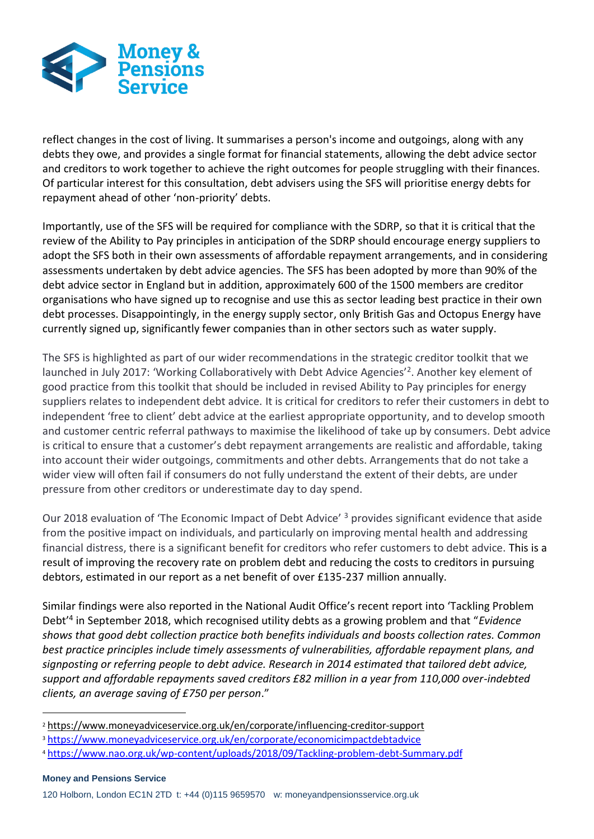

reflect changes in the cost of living. It summarises a person's income and outgoings, along with any debts they owe, and provides a single format for financial statements, allowing the debt advice sector and creditors to work together to achieve the right outcomes for people struggling with their finances. Of particular interest for this consultation, debt advisers using the SFS will prioritise energy debts for repayment ahead of other 'non-priority' debts.

Importantly, use of the SFS will be required for compliance with the SDRP, so that it is critical that the review of the Ability to Pay principles in anticipation of the SDRP should encourage energy suppliers to adopt the SFS both in their own assessments of affordable repayment arrangements, and in considering assessments undertaken by debt advice agencies. The SFS has been adopted by more than 90% of the debt advice sector in England but in addition, approximately 600 of the 1500 members are creditor organisations who have signed up to recognise and use this as sector leading best practice in their own debt processes. Disappointingly, in the energy supply sector, only British Gas and Octopus Energy have currently signed up, significantly fewer companies than in other sectors such as water supply.

The SFS is highlighted as part of our wider recommendations in the strategic creditor toolkit that we launched in July 2017: 'Working Collaboratively with Debt Advice Agencies'<sup>2</sup>. Another key element of good practice from this toolkit that should be included in revised Ability to Pay principles for energy suppliers relates to independent debt advice. It is critical for creditors to refer their customers in debt to independent 'free to client' debt advice at the earliest appropriate opportunity, and to develop smooth and customer centric referral pathways to maximise the likelihood of take up by consumers. Debt advice is critical to ensure that a customer's debt repayment arrangements are realistic and affordable, taking into account their wider outgoings, commitments and other debts. Arrangements that do not take a wider view will often fail if consumers do not fully understand the extent of their debts, are under pressure from other creditors or underestimate day to day spend.

Our 2018 evaluation of 'The Economic Impact of Debt Advice' <sup>3</sup> provides significant evidence that aside from the positive impact on individuals, and particularly on improving mental health and addressing financial distress, there is a significant benefit for creditors who refer customers to debt advice. This is a result of improving the recovery rate on problem debt and reducing the costs to creditors in pursuing debtors, estimated in our report as a net benefit of over £135-237 million annually.

Similar findings were also reported in the National Audit Office's recent report into 'Tackling Problem Debt'<sup>4</sup> in September 2018, which recognised utility debts as a growing problem and that "*Evidence shows that good debt collection practice both benefits individuals and boosts collection rates. Common best practice principles include timely assessments of vulnerabilities, affordable repayment plans, and signposting or referring people to debt advice. Research in 2014 estimated that tailored debt advice, support and affordable repayments saved creditors £82 million in a year from 110,000 over-indebted clients, an average saving of £750 per person*."

 $\overline{a}$ 

<sup>2</sup> <https://www.moneyadviceservice.org.uk/en/corporate/influencing-creditor-support>

<sup>3</sup> <https://www.moneyadviceservice.org.uk/en/corporate/economicimpactdebtadvice>

<sup>4</sup> <https://www.nao.org.uk/wp-content/uploads/2018/09/Tackling-problem-debt-Summary.pdf>